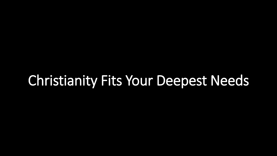# Christianity Fits Your Deepest Needs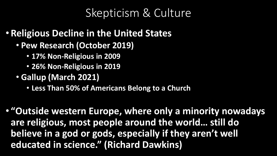### Skepticism & Culture

- **Religious Decline in the United States**
	- **Pew Research (October 2019)**
		- **17% Non-Religious in 2009**
		- **26% Non-Religious in 2019**
	- **Gallup (March 2021)**
		- **Less Than 50% of Americans Belong to a Church**

• **"Outside western Europe, where only a minority nowadays are religious, most people around the world… still do believe in a god or gods, especially if they aren't well educated in science." (Richard Dawkins)**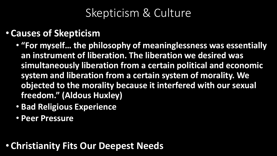## Skepticism & Culture

#### • **Causes of Skepticism**

- **"For myself… the philosophy of meaninglessness was essentially an instrument of liberation. The liberation we desired was simultaneously liberation from a certain political and economic system and liberation from a certain system of morality. We objected to the morality because it interfered with our sexual freedom." (Aldous Huxley)**
- **Bad Religious Experience**
- **Peer Pressure**

#### • **Christianity Fits Our Deepest Needs**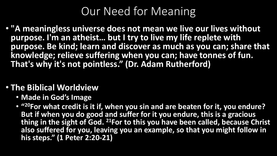## Our Need for Meaning

• **"A meaningless universe does not mean we live our lives without purpose. I'm an atheist… but I try to live my life replete with purpose. Be kind; learn and discover as much as you can; share that knowledge; relieve suffering when you can; have tonnes of fun. That's why it's not pointless." (Dr. Adam Rutherford)**

#### • **The Biblical Worldview**

- **Made in God's Image**
- **" <sup>20</sup>For what credit is it if, when you sin and are beaten for it, you endure? But if when you do good and suffer for it you endure, this is a gracious thing in the sight of God. <sup>21</sup>For to this you have been called, because Christ also suffered for you, leaving you an example, so that you might follow in his steps." (1 Peter 2:20-21)**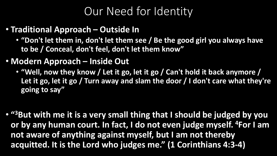### Our Need for Identity

- **Traditional Approach – Outside In**
	- **"Don't let them in, don't let them see / Be the good girl you always have to be / Conceal, don't feel, don't let them know"**
- **Modern Approach – Inside Out**
	- **"Well, now they know / Let it go, let it go / Can't hold it back anymore / Let it go, let it go / Turn away and slam the door / I don't care what they're going to say"**
- **" <sup>3</sup>But with me it is a very small thing that I should be judged by you or by any human court. In fact, I do not even judge myself. <sup>4</sup>For I am not aware of anything against myself, but I am not thereby acquitted. It is the Lord who judges me." (1 Corinthians 4:3-4)**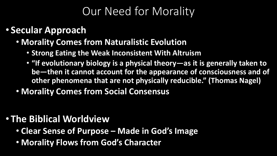## Our Need for Morality

### • **Secular Approach**

#### • **Morality Comes from Naturalistic Evolution**

- **Strong Eating the Weak Inconsistent With Altruism**
- **"If evolutionary biology is a physical theory—as it is generally taken to be—then it cannot account for the appearance of consciousness and of other phenomena that are not physically reducible." (Thomas Nagel)**
- **Morality Comes from Social Consensus**

### • **The Biblical Worldview**

- **Clear Sense of Purpose – Made in God's Image**
- **Morality Flows from God's Character**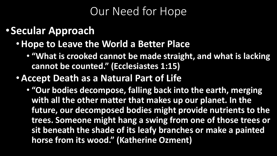## Our Need for Hope

### •**Secular Approach**

#### •**Hope to Leave the World a Better Place**

• **"What is crooked cannot be made straight, and what is lacking cannot be counted." (Ecclesiastes 1:15)**

### •**Accept Death as a Natural Part of Life**

• **"Our bodies decompose, falling back into the earth, merging with all the other matter that makes up our planet. In the future, our decomposed bodies might provide nutrients to the trees. Someone might hang a swing from one of those trees or sit beneath the shade of its leafy branches or make a painted horse from its wood." (Katherine Ozment)**